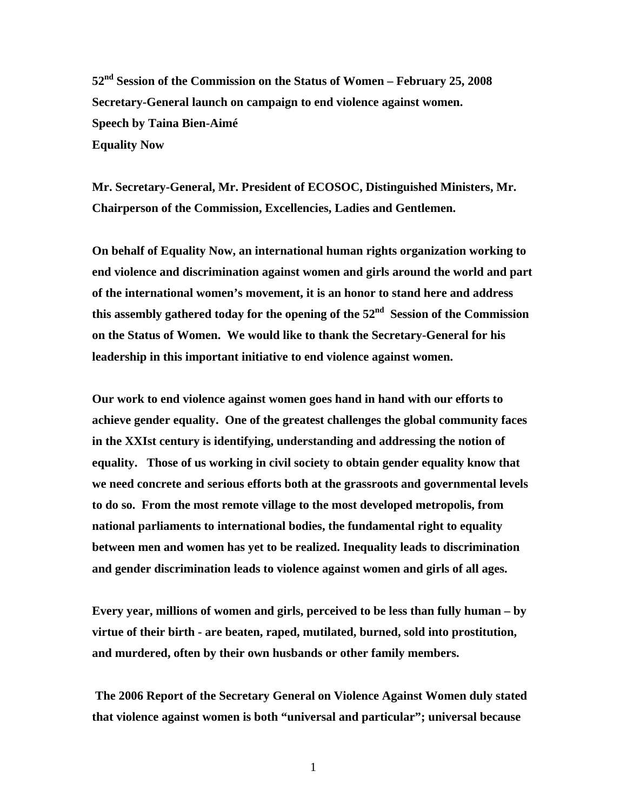**52nd Session of the Commission on the Status of Women – February 25, 2008 Secretary-General launch on campaign to end violence against women. Speech by Taina Bien-Aimé Equality Now** 

**Mr. Secretary-General, Mr. President of ECOSOC, Distinguished Ministers, Mr. Chairperson of the Commission, Excellencies, Ladies and Gentlemen.** 

**On behalf of Equality Now, an international human rights organization working to end violence and discrimination against women and girls around the world and part of the international women's movement, it is an honor to stand here and address**  this assembly gathered today for the opening of the 52<sup>nd</sup> Session of the Commission **on the Status of Women. We would like to thank the Secretary-General for his leadership in this important initiative to end violence against women.** 

**Our work to end violence against women goes hand in hand with our efforts to achieve gender equality. One of the greatest challenges the global community faces in the XXIst century is identifying, understanding and addressing the notion of equality. Those of us working in civil society to obtain gender equality know that we need concrete and serious efforts both at the grassroots and governmental levels to do so. From the most remote village to the most developed metropolis, from national parliaments to international bodies, the fundamental right to equality between men and women has yet to be realized. Inequality leads to discrimination and gender discrimination leads to violence against women and girls of all ages.** 

**Every year, millions of women and girls, perceived to be less than fully human – by virtue of their birth - are beaten, raped, mutilated, burned, sold into prostitution, and murdered, often by their own husbands or other family members.** 

 **The 2006 Report of the Secretary General on Violence Against Women duly stated that violence against women is both "universal and particular"; universal because** 

1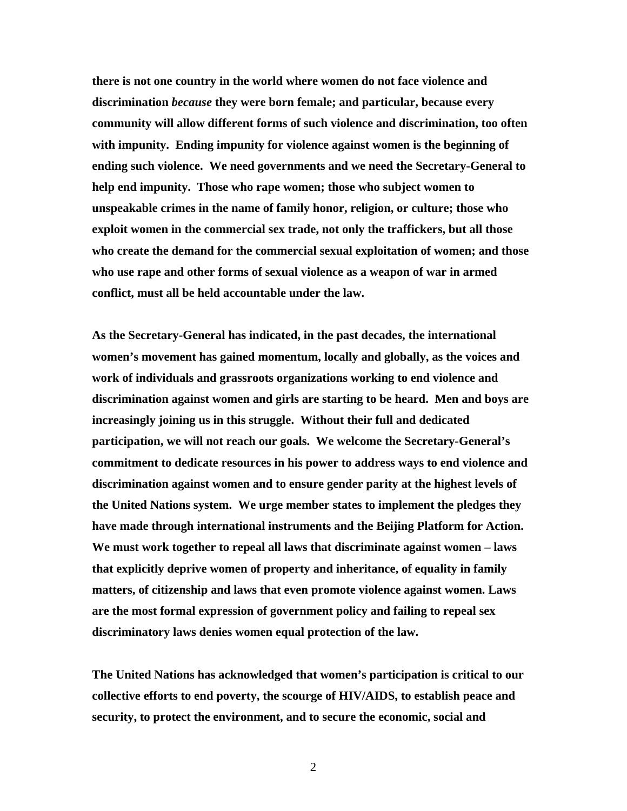**there is not one country in the world where women do not face violence and discrimination** *because* **they were born female; and particular, because every community will allow different forms of such violence and discrimination, too often with impunity. Ending impunity for violence against women is the beginning of ending such violence. We need governments and we need the Secretary-General to help end impunity. Those who rape women; those who subject women to unspeakable crimes in the name of family honor, religion, or culture; those who exploit women in the commercial sex trade, not only the traffickers, but all those who create the demand for the commercial sexual exploitation of women; and those who use rape and other forms of sexual violence as a weapon of war in armed conflict, must all be held accountable under the law.** 

**As the Secretary-General has indicated, in the past decades, the international women's movement has gained momentum, locally and globally, as the voices and work of individuals and grassroots organizations working to end violence and discrimination against women and girls are starting to be heard. Men and boys are increasingly joining us in this struggle. Without their full and dedicated participation, we will not reach our goals. We welcome the Secretary-General's commitment to dedicate resources in his power to address ways to end violence and discrimination against women and to ensure gender parity at the highest levels of the United Nations system. We urge member states to implement the pledges they have made through international instruments and the Beijing Platform for Action. We must work together to repeal all laws that discriminate against women – laws that explicitly deprive women of property and inheritance, of equality in family matters, of citizenship and laws that even promote violence against women. Laws are the most formal expression of government policy and failing to repeal sex discriminatory laws denies women equal protection of the law.** 

**The United Nations has acknowledged that women's participation is critical to our collective efforts to end poverty, the scourge of HIV/AIDS, to establish peace and security, to protect the environment, and to secure the economic, social and** 

2